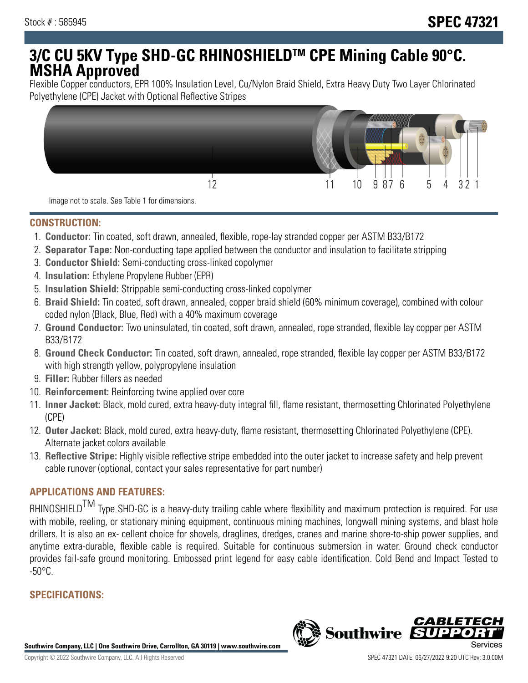# **3/C CU 5KV Type SHD-GC RHINOSHIELDTM CPE Mining Cable 90°C. MSHA Approved**

Flexible Copper conductors, EPR 100% Insulation Level, Cu/Nylon Braid Shield, Extra Heavy Duty Two Layer Chlorinated Polyethylene (CPE) Jacket with Optional Reflective Stripes



Image not to scale. See Table 1 for dimensions.

#### **CONSTRUCTION:**

- 1. **Conductor:** Tin coated, soft drawn, annealed, flexible, rope-lay stranded copper per ASTM B33/B172
- 2. **Separator Tape:** Non-conducting tape applied between the conductor and insulation to facilitate stripping
- 3. **Conductor Shield:** Semi-conducting cross-linked copolymer
- 4. **Insulation:** Ethylene Propylene Rubber (EPR)
- 5. **Insulation Shield:** Strippable semi-conducting cross-linked copolymer
- 6. **Braid Shield:** Tin coated, soft drawn, annealed, copper braid shield (60% minimum coverage), combined with colour coded nylon (Black, Blue, Red) with a 40% maximum coverage
- 7. **Ground Conductor:** Two uninsulated, tin coated, soft drawn, annealed, rope stranded, flexible lay copper per ASTM B33/B172
- 8. **Ground Check Conductor:** Tin coated, soft drawn, annealed, rope stranded, flexible lay copper per ASTM B33/B172 with high strength yellow, polypropylene insulation
- 9. **Filler:** Rubber fillers as needed
- 10. **Reinforcement:** Reinforcing twine applied over core
- 11. **Inner Jacket:** Black, mold cured, extra heavy-duty integral fill, flame resistant, thermosetting Chlorinated Polyethylene (CPE)
- 12. **Outer Jacket:** Black, mold cured, extra heavy-duty, flame resistant, thermosetting Chlorinated Polyethylene (CPE). Alternate jacket colors available
- 13. **Reflective Stripe:** Highly visible reflective stripe embedded into the outer jacket to increase safety and help prevent cable runover (optional, contact your sales representative for part number)

## **APPLICATIONS AND FEATURES:**

RHINOSHIELD<sup>TM</sup> Type SHD-GC is a heavy-duty trailing cable where flexibility and maximum protection is required. For use with mobile, reeling, or stationary mining equipment, continuous mining machines, longwall mining systems, and blast hole drillers. It is also an ex- cellent choice for shovels, draglines, dredges, cranes and marine shore-to-ship power supplies, and anytime extra-durable, flexible cable is required. Suitable for continuous submersion in water. Ground check conductor provides fail-safe ground monitoring. Embossed print legend for easy cable identification. Cold Bend and Impact Tested to  $-50^{\circ}$ C.

# **SPECIFICATIONS:**

**Southwire Company, LLC | One Southwire Drive, Carrollton, GA 30119 | www.southwire.com**

**Southwire** 

CABL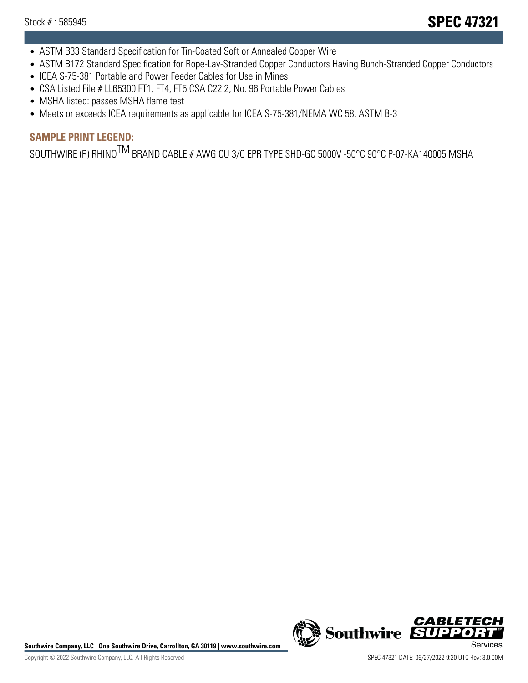- ASTM B33 Standard Specification for Tin-Coated Soft or Annealed Copper Wire
- ASTM B172 Standard Specification for Rope-Lay-Stranded Copper Conductors Having Bunch-Stranded Copper Conductors
- ICEA S-75-381 Portable and Power Feeder Cables for Use in Mines
- CSA Listed File # LL65300 FT1, FT4, FT5 CSA C22.2, No. 96 Portable Power Cables
- MSHA listed: passes MSHA flame test
- Meets or exceeds ICEA requirements as applicable for ICEA S-75-381/NEMA WC 58, ASTM B-3

# **SAMPLE PRINT LEGEND:**

SOUTHWIRE (R) RHINO<sup>TM</sup> BRAND CABLE # AWG CU 3/C EPR TYPE SHD-GC 5000V -50°C 90°C P-07-KA140005 MSHA

Southwire Company, LLC | One Southwire Drive, Carrollton, GA 30119 | www.southwire.com **Second Company, COVID Services**